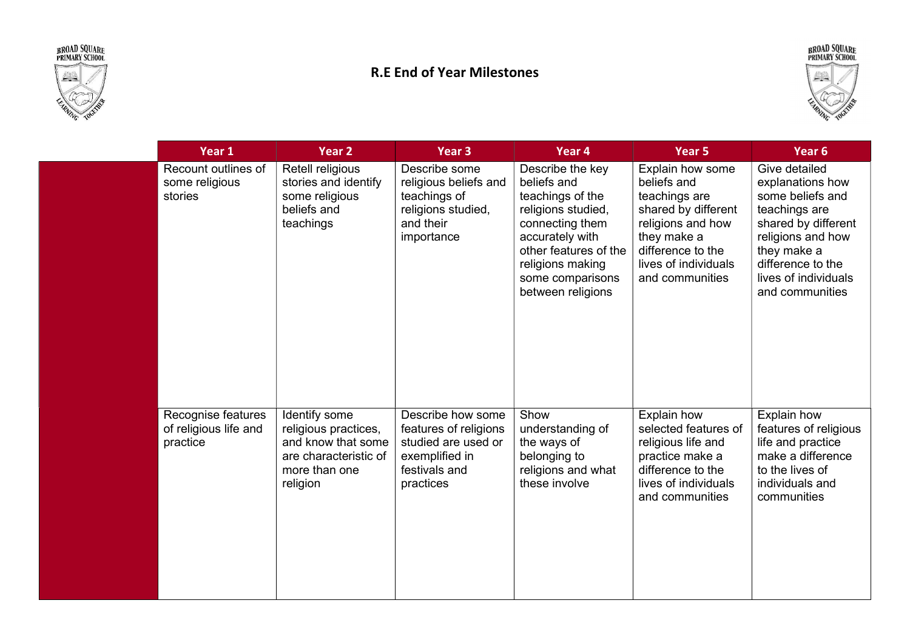



## R.E End of Year Milestones



| Year 1                                                  | Year 2                                                                                                            | Year 3                                                                                                            | Year 4                                                                                                                                                                                                | Year 5                                                                                                                                                                      | Year <sub>6</sub>                                                                                                                                                                                 |
|---------------------------------------------------------|-------------------------------------------------------------------------------------------------------------------|-------------------------------------------------------------------------------------------------------------------|-------------------------------------------------------------------------------------------------------------------------------------------------------------------------------------------------------|-----------------------------------------------------------------------------------------------------------------------------------------------------------------------------|---------------------------------------------------------------------------------------------------------------------------------------------------------------------------------------------------|
| Recount outlines of<br>some religious<br>stories        | Retell religious<br>stories and identify<br>some religious<br>beliefs and<br>teachings                            | Describe some<br>religious beliefs and<br>teachings of<br>religions studied,<br>and their<br>importance           | Describe the key<br>beliefs and<br>teachings of the<br>religions studied,<br>connecting them<br>accurately with<br>other features of the<br>religions making<br>some comparisons<br>between religions | Explain how some<br>beliefs and<br>teachings are<br>shared by different<br>religions and how<br>they make a<br>difference to the<br>lives of individuals<br>and communities | Give detailed<br>explanations how<br>some beliefs and<br>teachings are<br>shared by different<br>religions and how<br>they make a<br>difference to the<br>lives of individuals<br>and communities |
| Recognise features<br>of religious life and<br>practice | Identify some<br>religious practices,<br>and know that some<br>are characteristic of<br>more than one<br>religion | Describe how some<br>features of religions<br>studied are used or<br>exemplified in<br>festivals and<br>practices | Show<br>understanding of<br>the ways of<br>belonging to<br>religions and what<br>these involve                                                                                                        | Explain how<br>selected features of<br>religious life and<br>practice make a<br>difference to the<br>lives of individuals<br>and communities                                | Explain how<br>features of religious<br>life and practice<br>make a difference<br>to the lives of<br>individuals and<br>communities                                                               |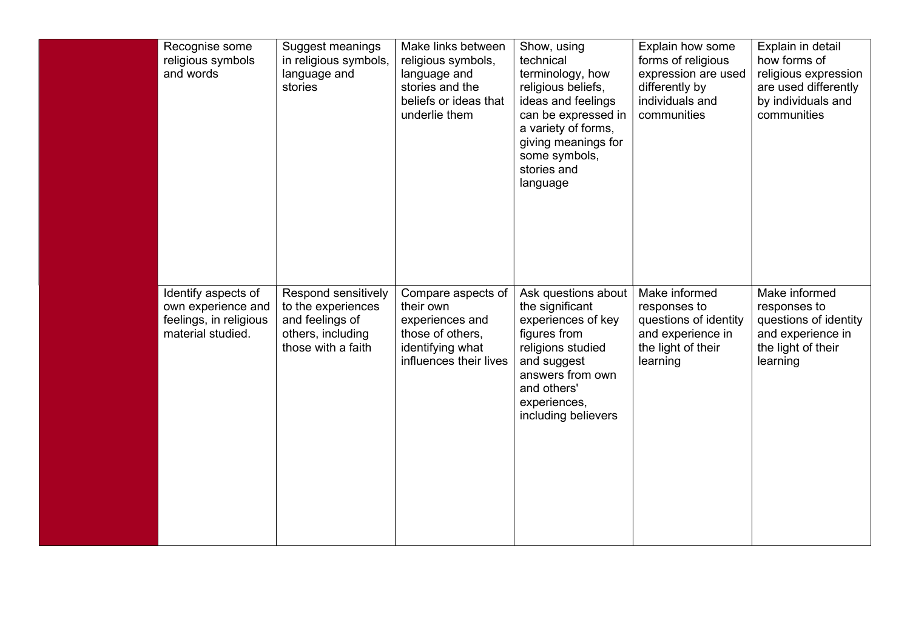| Recognise some<br>religious symbols<br>and words                                         | Suggest meanings<br>in religious symbols,<br>language and<br>stories                                    | Make links between<br>religious symbols,<br>language and<br>stories and the<br>beliefs or ideas that<br>underlie them | Show, using<br>technical<br>terminology, how<br>religious beliefs,<br>ideas and feelings<br>can be expressed in<br>a variety of forms,<br>giving meanings for<br>some symbols,<br>stories and<br>language | Explain how some<br>forms of religious<br>expression are used<br>differently by<br>individuals and<br>communities | Explain in detail<br>how forms of<br>religious expression<br>are used differently<br>by individuals and<br>communities |
|------------------------------------------------------------------------------------------|---------------------------------------------------------------------------------------------------------|-----------------------------------------------------------------------------------------------------------------------|-----------------------------------------------------------------------------------------------------------------------------------------------------------------------------------------------------------|-------------------------------------------------------------------------------------------------------------------|------------------------------------------------------------------------------------------------------------------------|
| Identify aspects of<br>own experience and<br>feelings, in religious<br>material studied. | Respond sensitively<br>to the experiences<br>and feelings of<br>others, including<br>those with a faith | Compare aspects of<br>their own<br>experiences and<br>those of others,<br>identifying what<br>influences their lives  | Ask questions about<br>the significant<br>experiences of key<br>figures from<br>religions studied<br>and suggest<br>answers from own<br>and others'<br>experiences,<br>including believers                | Make informed<br>responses to<br>questions of identity<br>and experience in<br>the light of their<br>learning     | Make informed<br>responses to<br>questions of identity<br>and experience in<br>the light of their<br>learning          |